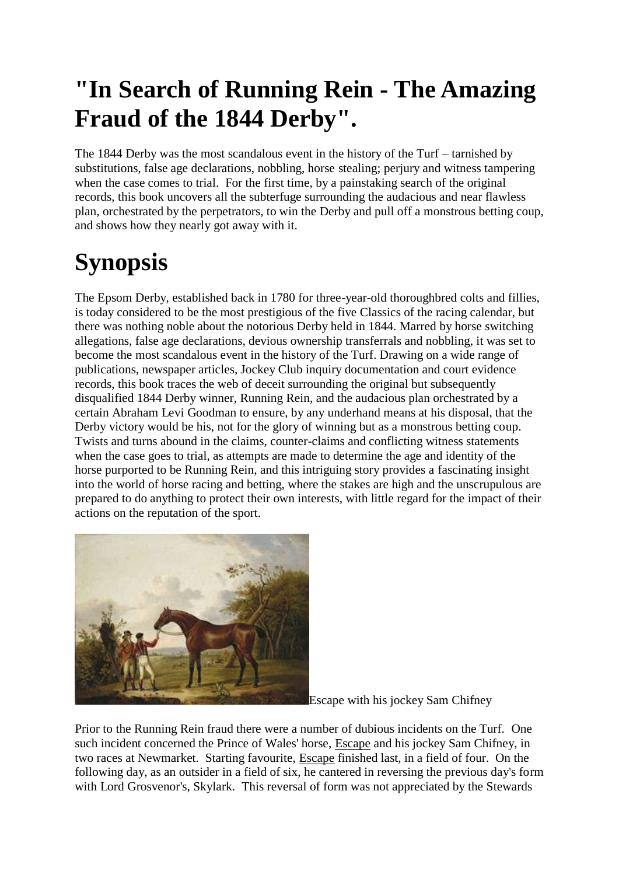## **"In Search of Running Rein - The Amazing Fraud of the 1844 Derby".**

The 1844 Derby was the most scandalous event in the history of the Turf – tarnished by substitutions, false age declarations, nobbling, horse stealing; perjury and witness tampering when the case comes to trial. For the first time, by a painstaking search of the original records, this book uncovers all the subterfuge surrounding the audacious and near flawless plan, orchestrated by the perpetrators, to win the Derby and pull off a monstrous betting coup, and shows how they nearly got away with it.

# **Synopsis**

The Epsom Derby, established back in 1780 for three-year-old thoroughbred colts and fillies, is today considered to be the most prestigious of the five Classics of the racing calendar, but there was nothing noble about the notorious Derby held in 1844. Marred by horse switching allegations, false age declarations, devious ownership transferrals and nobbling, it was set to become the most scandalous event in the history of the Turf. Drawing on a wide range of publications, newspaper articles, Jockey Club inquiry documentation and court evidence records, this book traces the web of deceit surrounding the original but subsequently disqualified 1844 Derby winner, Running Rein, and the audacious plan orchestrated by a certain Abraham Levi Goodman to ensure, by any underhand means at his disposal, that the Derby victory would be his, not for the glory of winning but as a monstrous betting coup. Twists and turns abound in the claims, counter-claims and conflicting witness statements when the case goes to trial, as attempts are made to determine the age and identity of the horse purported to be Running Rein, and this intriguing story provides a fascinating insight into the world of horse racing and betting, where the stakes are high and the unscrupulous are prepared to do anything to protect their own interests, with little regard for the impact of their actions on the reputation of the sport.



Escape with his jockey Sam Chifney

Prior to the Running Rein fraud there were a number of dubious incidents on the Turf. One such incident concerned the Prince of Wales' horse, [Escape](http://www.bloodlines.net/TB/Bios/Escape.htm) and his jockey Sam Chifney, in two races at Newmarket. Starting favourite, [Escape](http://www.bloodlines.net/TB/Bios/Escape.htm) finished last, in a field of four. On the following day, as an outsider in a field of six, he cantered in reversing the previous day's form with Lord Grosvenor's, Skylark. This reversal of form was not appreciated by the Stewards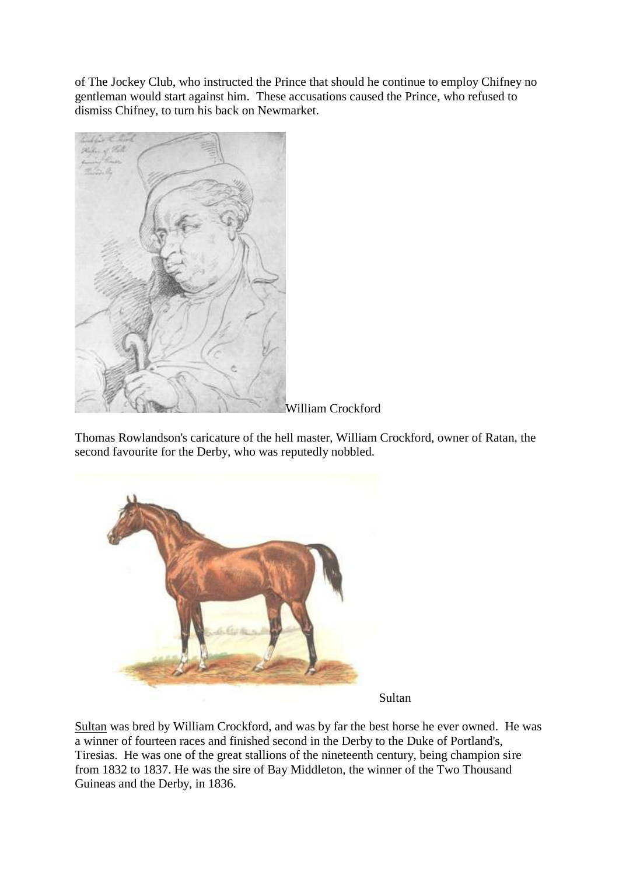of The Jockey Club, who instructed the Prince that should he continue to employ Chifney no gentleman would start against him. These accusations caused the Prince, who refused to dismiss Chifney, to turn his back on Newmarket.



Thomas Rowlandson's caricature of the hell master, William Crockford, owner of Ratan, the second favourite for the Derby, who was reputedly nobbled.



Sultan

[Sultan](http://www.bloodlines.net/TB/Bios/Sultan.htm) was bred by William Crockford, and was by far the best horse he ever owned. He was a winner of fourteen races and finished second in the Derby to the Duke of Portland's, Tiresias. He was one of the great stallions of the nineteenth century, being champion sire from 1832 to 1837. He was the sire of Bay Middleton, the winner of the Two Thousand Guineas and the Derby, in 1836.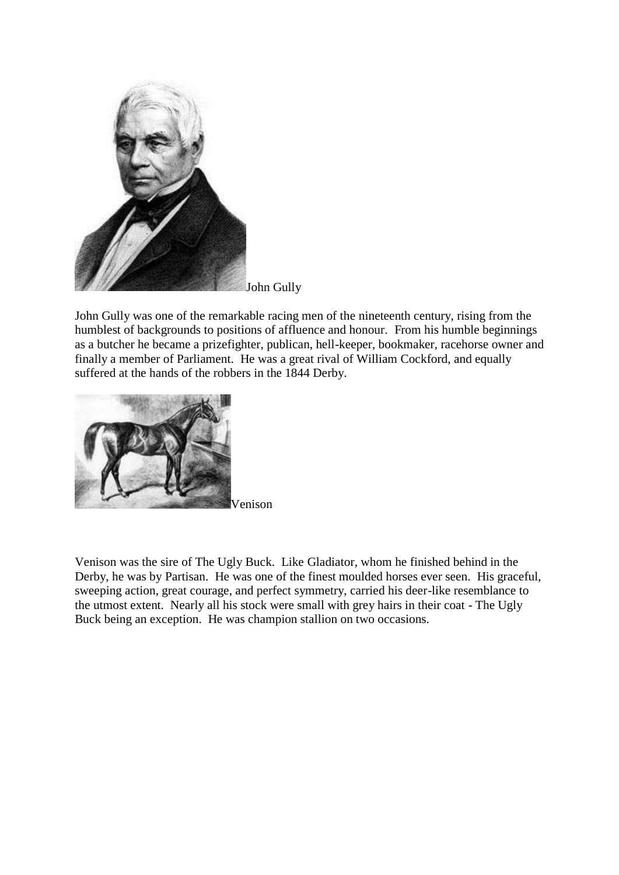

John Gully was one of the remarkable racing men of the nineteenth century, rising from the humblest of backgrounds to positions of affluence and honour. From his humble beginnings as a butcher he became a prizefighter, publican, hell-keeper, bookmaker, racehorse owner and finally a member of Parliament. He was a great rival of William Cockford, and equally suffered at the hands of the robbers in the 1844 Derby.



Venison

[Venison](http://www.bloodlines.net/TB/Bios/Venison.htm) was the sire of The Ugly Buck. Like [Gladiator,](http://www.bloodlines.net/TB/Bios2/Bios-G/Gladiator.htm) whom he finished behind in the Derby, he was by [Partisan.](http://www.bloodlines.net/TB/Bios2/Bios-P/Partisan.htm) He was one of the finest moulded horses ever seen. His graceful, sweeping action, great courage, and perfect symmetry, carried his deer-like resemblance to the utmost extent. Nearly all his stock were small with grey hairs in their coat - The Ugly Buck being an exception. He was champion stallion on two occasions.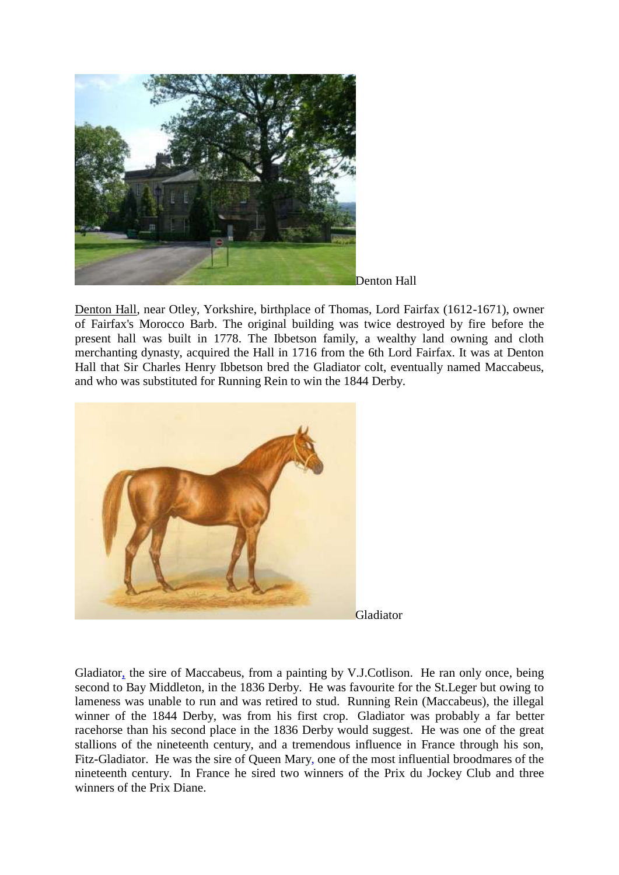



[Denton Hall,](http://www.bloodlines.net/TB/Breeders/Photos/DentonPark/DentonPark.htm) near Otley, Yorkshire, birthplace of Thomas, Lord Fairfax (1612-1671), owner of [Fairfax's Morocco Barb.](http://www.bloodlines.net/TB/Summaries/FairfaxMoroccoBarb.htm) The original building was twice destroyed by fire before the present hall was built in 1778. The Ibbetson family, a wealthy land owning and cloth merchanting dynasty, acquired the Hall in 1716 from the 6th Lord Fairfax. It was at Denton Hall that Sir Charles Henry Ibbetson bred the Gladiator colt, eventually named Maccabeus, and who was substituted for Running Rein to win the 1844 Derby.



Gladiator

[Gladiator,](http://www.bloodlines.net/TB/Bios2/Bios-G/Gladiator.htm) the sire of Maccabeus, from a painting by V.J.Cotlison. He ran only once, being second to [Bay Middleton,](http://www.bloodlines.net/TB/Bios2/BayMiddleton.htm) in the 1836 Derby. He was favourite for the St.Leger but owing to lameness was unable to run and was retired to stud. Running Rein (Maccabeus), the illegal winner of the 1844 Derby, was from his first crop. [Gladiator](http://www.bloodlines.net/TB/Bios2/Bios-G/Gladiator.htm) was probably a far better racehorse than his second place in the 1836 Derby would suggest. He was one of the great stallions of the nineteenth century, and a tremendous influence in France through his son, Fitz-Gladiator. He was the sire of [Queen Mary,](http://www.bloodlines.net/TB/Bios/QueenMary.htm) one of the most influential broodmares of the nineteenth century. In France he sired two winners of the Prix du Jockey Club and three winners of the Prix Diane.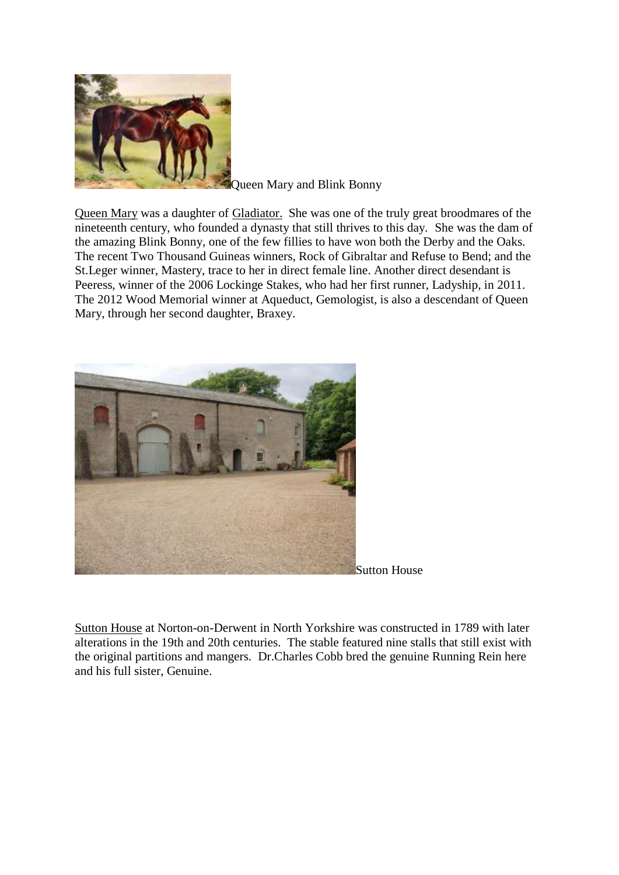

Queen Mary and Blink Bonny

[Queen Mary](http://www.bloodlines.net/TB/Bios/QueenMary.htm) was a daughter of [Gladiator.](http://www.bloodlines.net/TB/Bios2/Bios-G/Gladiator.htm) She was one of the truly great broodmares of the nineteenth century, who founded a dynasty that still thrives to this day. She was the dam of the amazing Blink Bonny, one of the few fillies to have won both the Derby and the Oaks. The recent Two Thousand Guineas winners, Rock of Gibraltar and Refuse to Bend; and the St.Leger winner, Mastery, trace to her in direct female line. Another direct desendant is Peeress, winner of the 2006 Lockinge Stakes, who had her first runner, Ladyship, in 2011. The 2012 Wood Memorial winner at Aqueduct, Gemologist, is also a descendant of Queen Mary, through her second daughter, Braxey.



[Sutton House](http://www.bloodlines.net/TB/Breeders/Photos/SuttonHouse/SuttonHouse.htm) at Norton-on-Derwent in North Yorkshire was constructed in 1789 with later alterations in the 19th and 20th centuries. The stable featured nine stalls that still exist with the original partitions and mangers. Dr.Charles Cobb bred the genuine Running Rein here and his full sister, Genuine.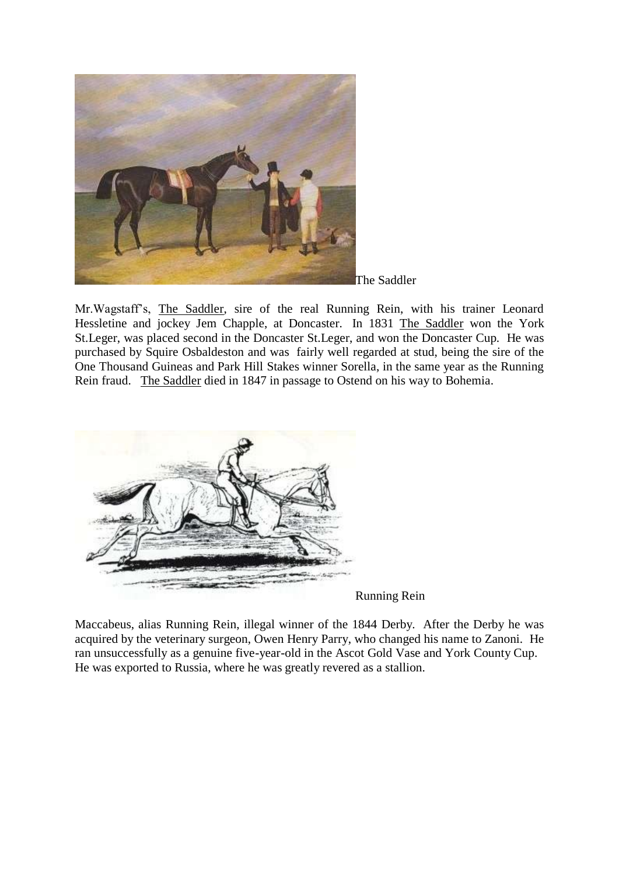

The Saddler

Mr.Wagstaff's, [The Saddler,](http://www.bloodlines.net/TB/Bios2/TheSaddler.htm) sire of the real Running Rein, with his trainer Leonard Hessletine and jockey Jem Chapple, at Doncaster. In 1831 [The Saddler](http://www.bloodlines.net/TB/Bios2/TheSaddler.htm) won the York St.Leger, was placed second in the Doncaster St.Leger, and won the Doncaster Cup. He was purchased by Squire Osbaldeston and was fairly well regarded at stud, being the sire of the One Thousand Guineas and Park Hill Stakes winner Sorella, in the same year as the Running Rein fraud. [The Saddler](http://www.bloodlines.net/TB/Bios2/TheSaddler.htm) died in 1847 in passage to Ostend on his way to Bohemia.



Running Rein

Maccabeus, alias Running Rein, illegal winner of the 1844 Derby. After the Derby he was acquired by the veterinary surgeon, Owen Henry Parry, who changed his name to Zanoni. He ran unsuccessfully as a genuine five-year-old in the Ascot Gold Vase and York County Cup. He was exported to Russia, where he was greatly revered as a stallion.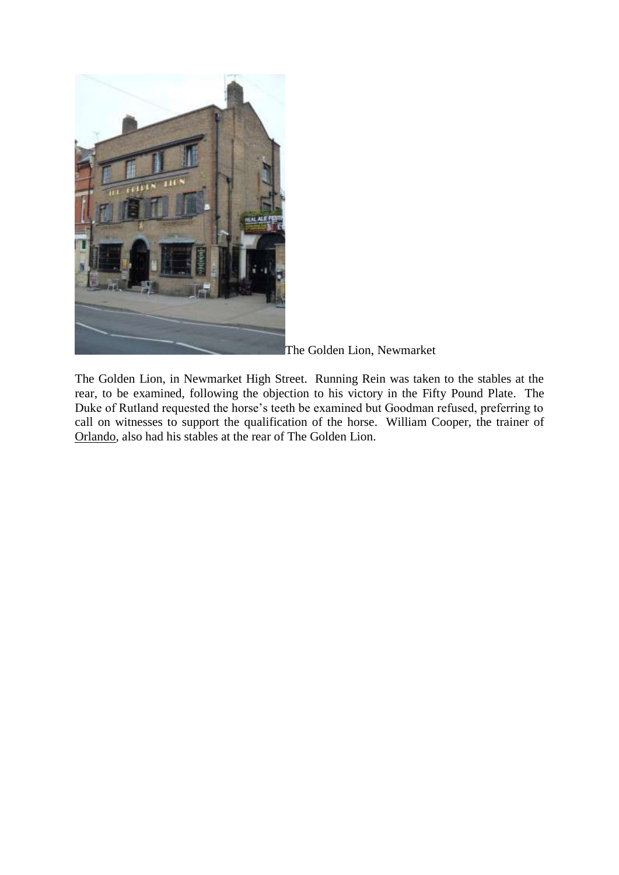

The Golden Lion, Newmarket

The Golden Lion, in Newmarket High Street. Running Rein was taken to the stables at the rear, to be examined, following the objection to his victory in the Fifty Pound Plate. The Duke of Rutland requested the horse's teeth be examined but Goodman refused, preferring to call on witnesses to support the qualification of the horse. William Cooper, the trainer of [Orlando,](http://www.bloodlines.net/TB/Bios2/Bios-NO/Orlando.htm) also had his stables at the rear of The Golden Lion.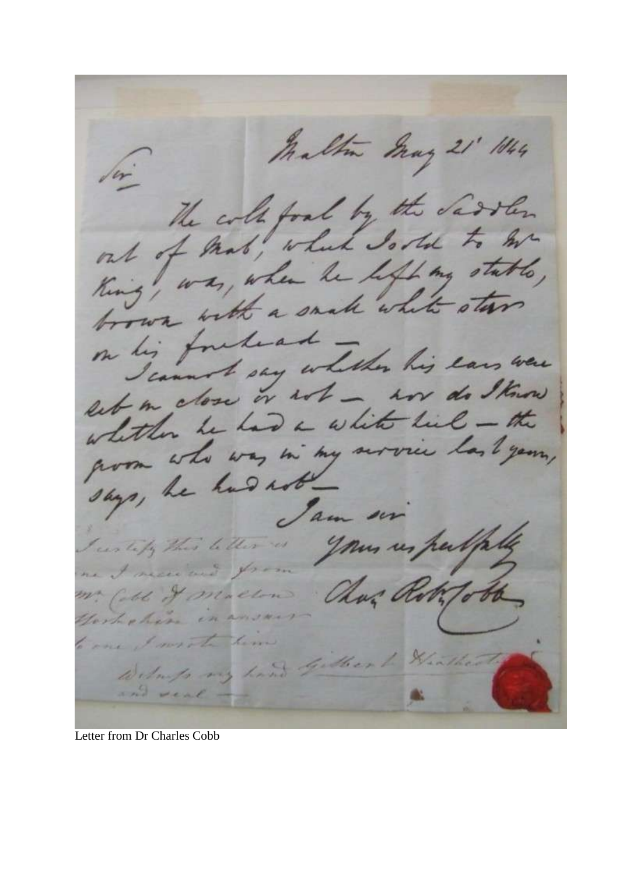Maltin May 21' 1044 The cole food by the Sarten out of that, which Is the to be out of man, when he lift my stable, ting, with a small white stars on his foreleast lig forthe whether his ears were let me dose or with - war do I know est me de lad a white lieb - the whitten it was in my acrossic last year, says, he had not. Jam en your un perlip I certify this letter is me I necessared for m. Cold & maclin Chas Roty o Hort chin in to one I wrote him Wilmps my hand Gilbert Hin and veal -

Letter from Dr Charles Cobb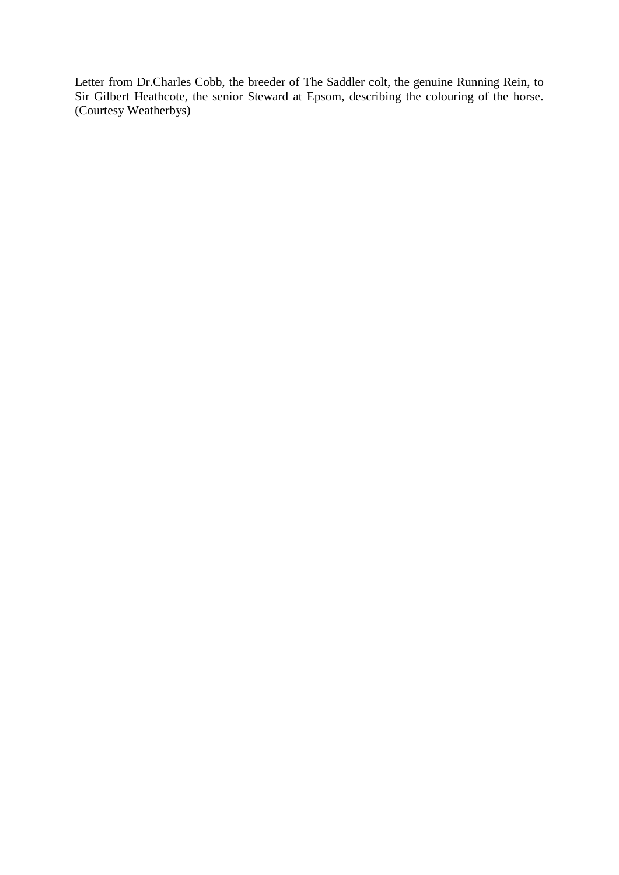Letter from Dr.Charles Cobb, the breeder of The Saddler colt, the genuine Running Rein, to Sir Gilbert Heathcote, the senior Steward at Epsom, describing the colouring of the horse. (Courtesy Weatherbys)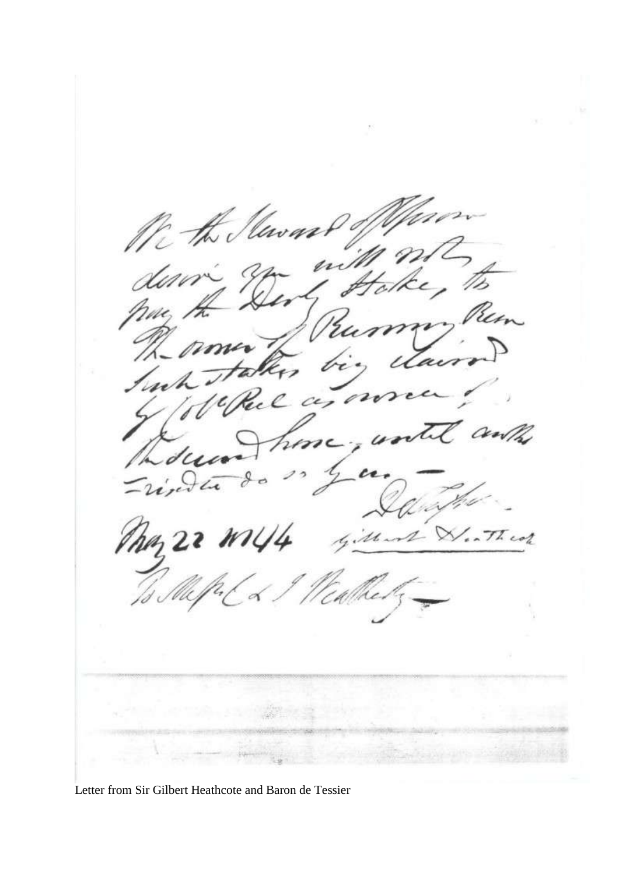Un the Mewas The tair. bel a NZ hime  $d\mu$ y en Jang river May 22 Ml Mast W. Theor

Letter from Sir Gilbert Heathcote and Baron de Tessier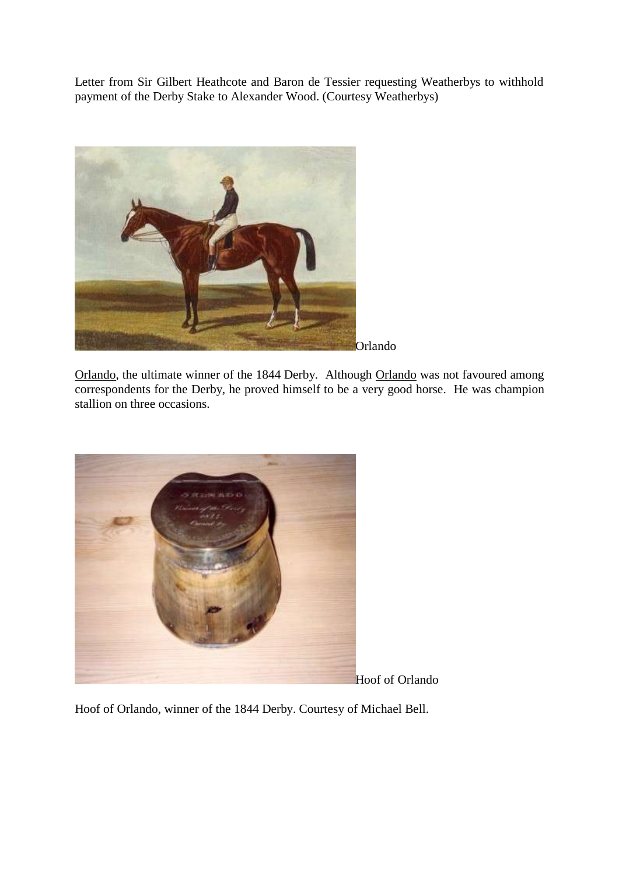Letter from Sir Gilbert Heathcote and Baron de Tessier requesting Weatherbys to withhold payment of the Derby Stake to Alexander Wood. (Courtesy Weatherbys)



[Orlando,](http://www.bloodlines.net/TB/Bios2/Bios-NO/Orlando.htm) the ultimate winner of the 1844 Derby. Although [Orlando](http://www.bloodlines.net/TB/Bios2/Bios-NO/Orlando.htm) was not favoured among correspondents for the Derby, he proved himself to be a very good horse. He was champion stallion on three occasions.



Hoof of Orlando, winner of the 1844 Derby. Courtesy of Michael Bell.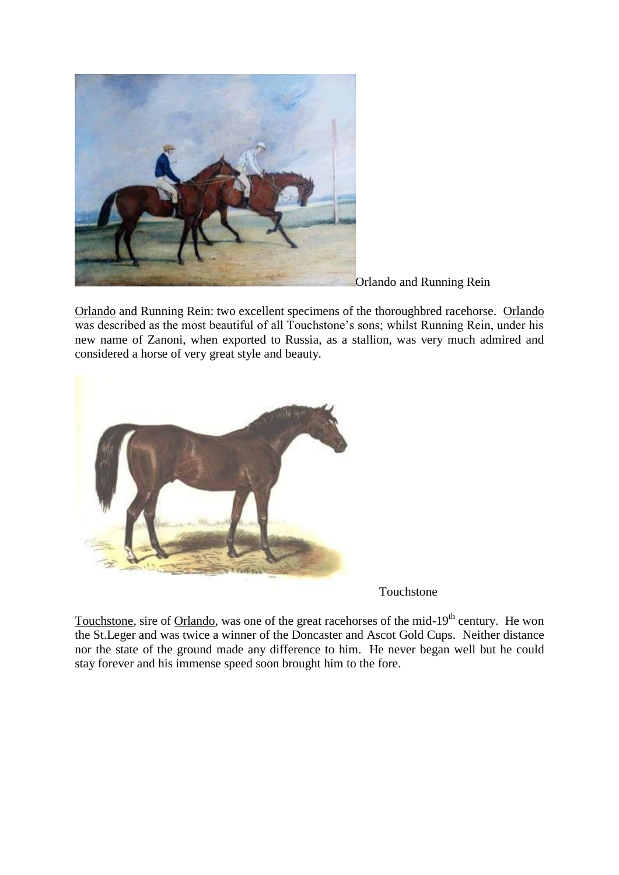

Orlando and Running Rein

[Orlando](http://1844derbyfraud.com/) and Running Rein: two excellent specimens of the thoroughbred racehorse. [Orlando](http://1844derbyfraud.com/) was described as the most beautiful of all Touchstone's sons; whilst Running Rein, under his new name of Zanoni, when exported to Russia, as a stallion, was very much admired and considered a horse of very great style and beauty.



Touchstone

[Touchstone,](http://www.bloodlines.net/TB/Bios2/Touchstone.htm) sire of [Orlando,](http://www.bloodlines.net/TB/Bios2/Bios-NO/Orlando.htm) was one of the great racehorses of the mid-19<sup>th</sup> century. He won the St.Leger and was twice a winner of the Doncaster and Ascot Gold Cups. Neither distance nor the state of the ground made any difference to him. He never began well but he could stay forever and his immense speed soon brought him to the fore.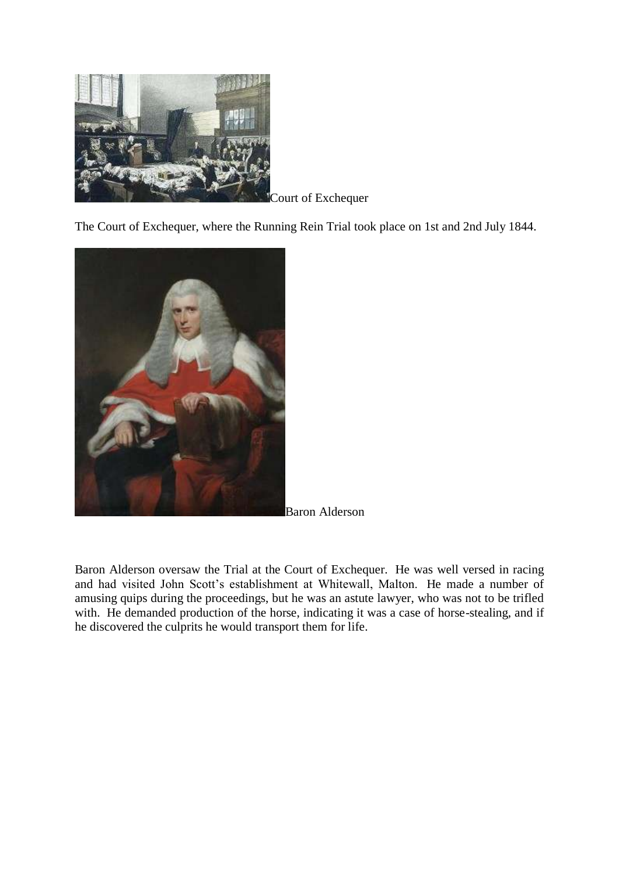

Court of Exchequer

The Court of Exchequer, where the Running Rein Trial took place on 1st and 2nd July 1844.



Baron Alderson

Baron Alderson oversaw the Trial at the Court of Exchequer. He was well versed in racing and had visited John Scott's establishment at Whitewall, Malton. He made a number of amusing quips during the proceedings, but he was an astute lawyer, who was not to be trifled with. He demanded production of the horse, indicating it was a case of horse-stealing, and if he discovered the culprits he would transport them for life.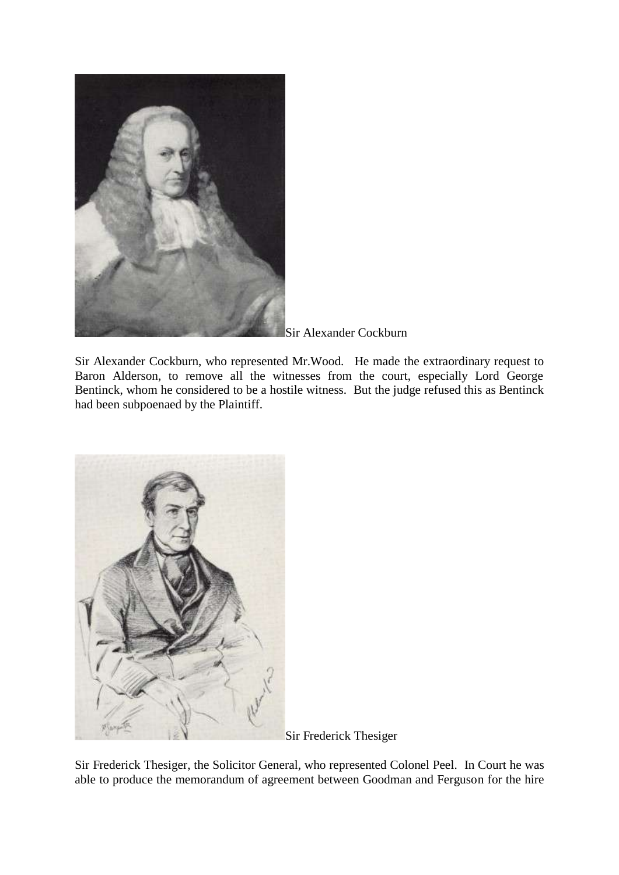

Sir Alexander Cockburn

Sir Alexander Cockburn, who represented Mr.Wood. He made the extraordinary request to Baron Alderson, to remove all the witnesses from the court, especially Lord George Bentinck, whom he considered to be a hostile witness. But the judge refused this as Bentinck had been subpoenaed by the Plaintiff.



Sir Frederick Thesiger

Sir Frederick Thesiger, the Solicitor General, who represented Colonel Peel. In Court he was able to produce the memorandum of agreement between Goodman and Ferguson for the hire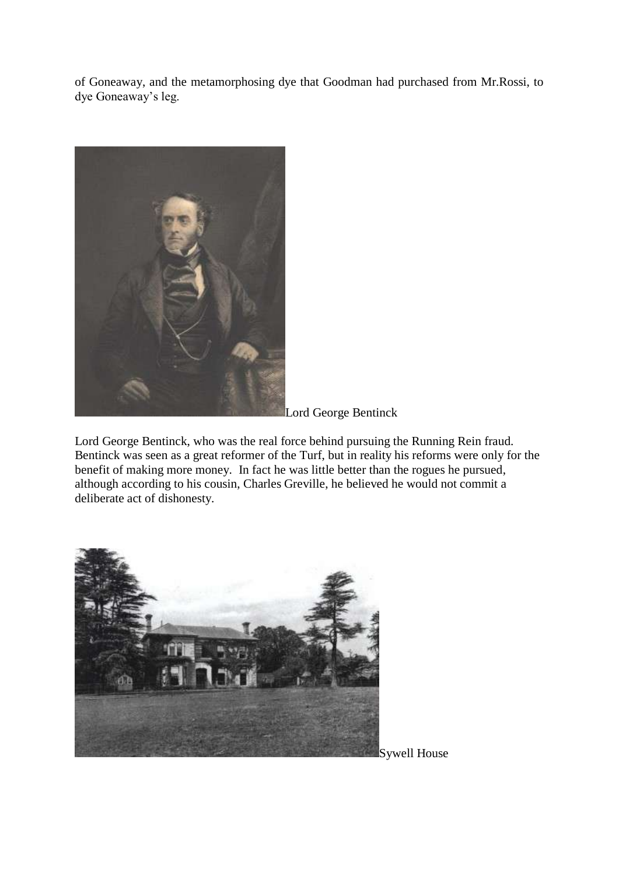of Goneaway, and the metamorphosing dye that Goodman had purchased from Mr.Rossi, to dye Goneaway's leg.



Lord George Bentinck

Lord George Bentinck, who was the real force behind pursuing the Running Rein fraud. Bentinck was seen as a great reformer of the Turf, but in reality his reforms were only for the benefit of making more money. In fact he was little better than the rogues he pursued, although according to his cousin, Charles Greville, he believed he would not commit a deliberate act of dishonesty.

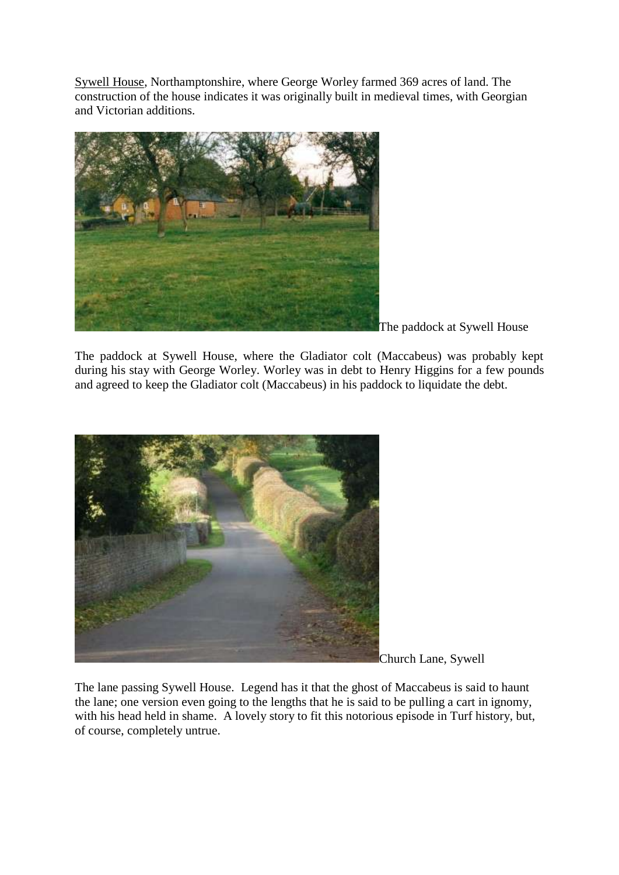[Sywell House,](http://www.bloodlines.net/TB/Breeders/Photos/SywellHouse/SywellHouse.htm) Northamptonshire, where George Worley farmed 369 acres of land. The construction of the house indicates it was originally built in medieval times, with Georgian and Victorian additions.



The paddock at Sywell House

The paddock at Sywell House, where the Gladiator colt (Maccabeus) was probably kept during his stay with George Worley. Worley was in debt to Henry Higgins for a few pounds and agreed to keep the Gladiator colt (Maccabeus) in his paddock to liquidate the debt.



Church Lane, Sywell

The lane passing Sywell House. Legend has it that the ghost of Maccabeus is said to haunt the lane; one version even going to the lengths that he is said to be pulling a cart in ignomy, with his head held in shame. A lovely story to fit this notorious episode in Turf history, but, of course, completely untrue.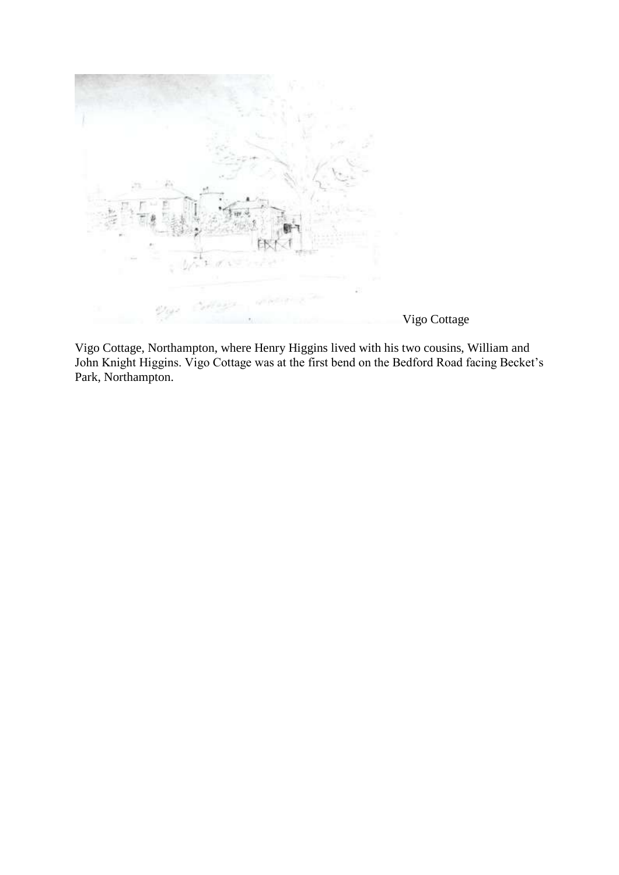

Vigo Cottage, Northampton, where Henry Higgins lived with his two cousins, William and John Knight Higgins. Vigo Cottage was at the first bend on the Bedford Road facing Becket's Park, Northampton.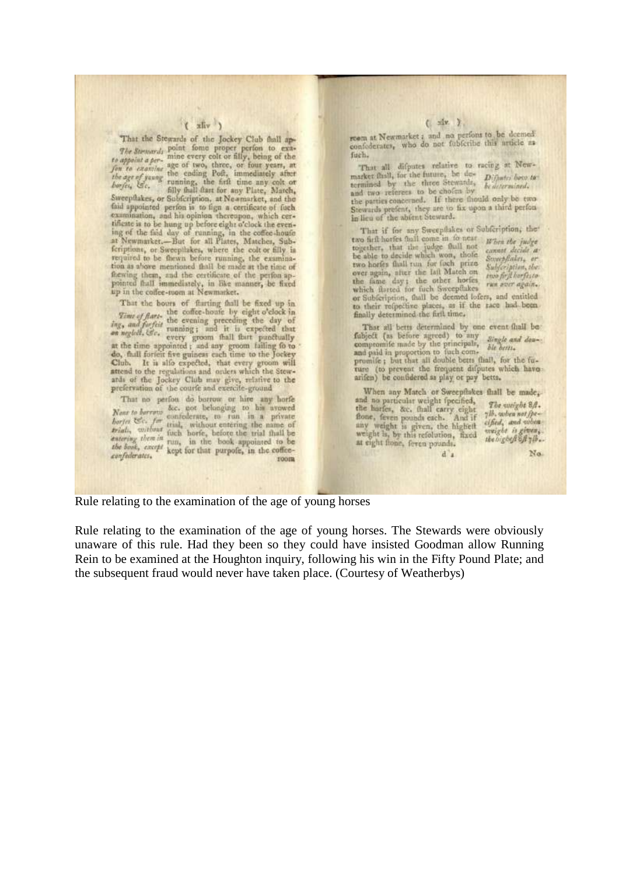### $(x)$

That the Stewards of the Jockey Club fhall ap-The Summals point forms proper perfon to exa-The Stream's mine every colt or filly, being of the<br>form to examine age of two, three, or four years, at<br>the age of years the ending Poft, immediately after<br>the age of years the finite may colt or<br>forget, Ec. filly fhall f Sweeptlakes, or Subfcription, at Newmarket, and the faid appointed perfon is to fign a certificate of fuch examination, and his opinion thereupon, which certificate is to be hung up before eight o'clock the evening of the fild day of running, in the coffee-houfe at Newmarket.--But for all Plates, Matches, Subferiptions, or Sweeptlakes, where the colt or filly in required to be thewn before running, the examinafhewing them, and the certificate of the perfon appointed fhall immediately, in like manner, be fixed up in the coffee-toom at Newmarket.

That the bours of flurting fhall be fixed up in That the bours of the coffee-houfe by eight  $o$ 'elock in<br>  $Time of$  flart, the corning preceding the day of<br>  $ing$ , and furfait the evening; and it is expected that<br>
on neglect,  $Ge$ , running; and it is expected that<br>
on neglect, Club. It is alfo expected, that every groom will attend to the regulations and orders which the Stewards of the Jockey Club may give, relative to the prefervation of the courfe and exercite-ground

That no perfon do borrow or hire any horfe That no period do belonging to his approved<br>Near to berrow confederate, to run in a private<br>borier EC- for trial, without entering the name of<br>trial, without find, without entering the name of<br>trial, without inch horfe, be confederates. room

#### $($   $\frac{1}{2}x$   $)$

room at Newmarket ; and no perfons to be deemed confederates, who do not fubfcribe this article as fuch.

That all difputes relative to racing at Newmarket finil, for the future, he de- Diffusive foco to termined by the three Stewards, bedeermined. and two referees to be chofen by be determined, Stewards prefent, they are to fix upon a third perfon in lieu of the abient Steward.

That if for any Sweepflakes or Subfeription, the two firft horfes thall come in to near When the judge together, that the judge fhall not cannot decide a be able to decide which won, those Sweepflakes, er two horfes fhall run for foch prize<br>over again, after the laft Match one<br>best shorter Subfeription, the two first horfesto the fame day; the other horfes which flarted for fuch Sweepflukes run aver again. or Subfeription, thall be deemed loters, and entitled to their refpective places, as if the race had been finally determined the firft time,

That all betts determined by one event fhall be fubject (as before agreed) to any *Single and deu*-compromite made by the principals, *Single and deu*-<br>and paid in proportion to fuch com-

and paid in proportion to fuch compromife; but that all double betts fliall, for the future (to prevent the frequent difputes which have arifen) be confidered as play or psy betts.

 $d$ 

When any Match or Sweepflakes fhall be made, and an particular weight (pecified, the harfer, &c. thall carry eight<br>fone, feven pounds each. And if<br>any weight is given, the highelt<br>weight is given, the highelt<br>weight is, by this refolution, fixed<br>at eight flope, feven at eight flone, feren pounds.

The weight 8A. 716, when not fpecified, and when weight is given,

No.

Rule relating to the examination of the age of young horses

Rule relating to the examination of the age of young horses. The Stewards were obviously unaware of this rule. Had they been so they could have insisted Goodman allow Running Rein to be examined at the Houghton inquiry, following his win in the Fifty Pound Plate; and the subsequent fraud would never have taken place. (Courtesy of Weatherbys)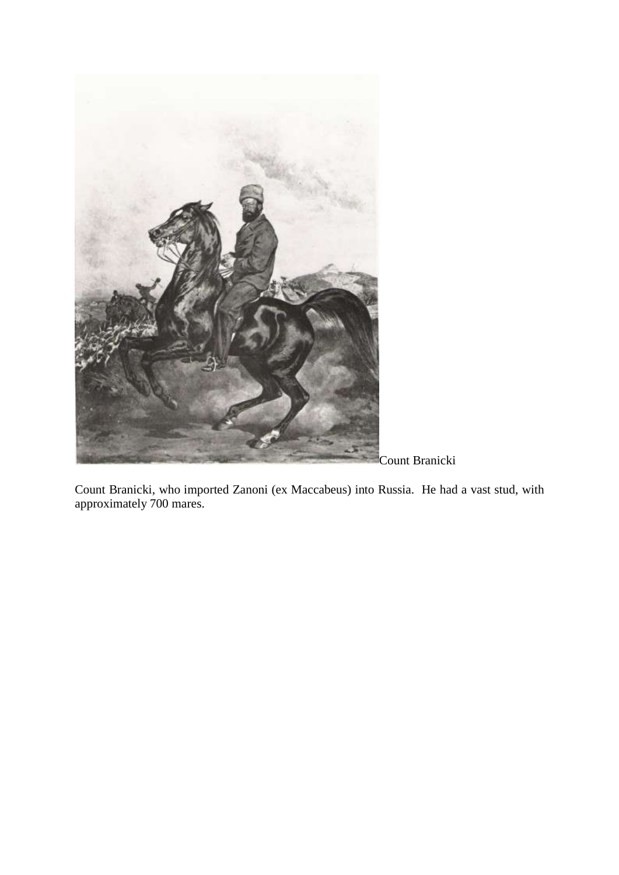

Count Branicki, who imported Zanoni (ex Maccabeus) into Russia. He had a vast stud, with approximately 700 mares.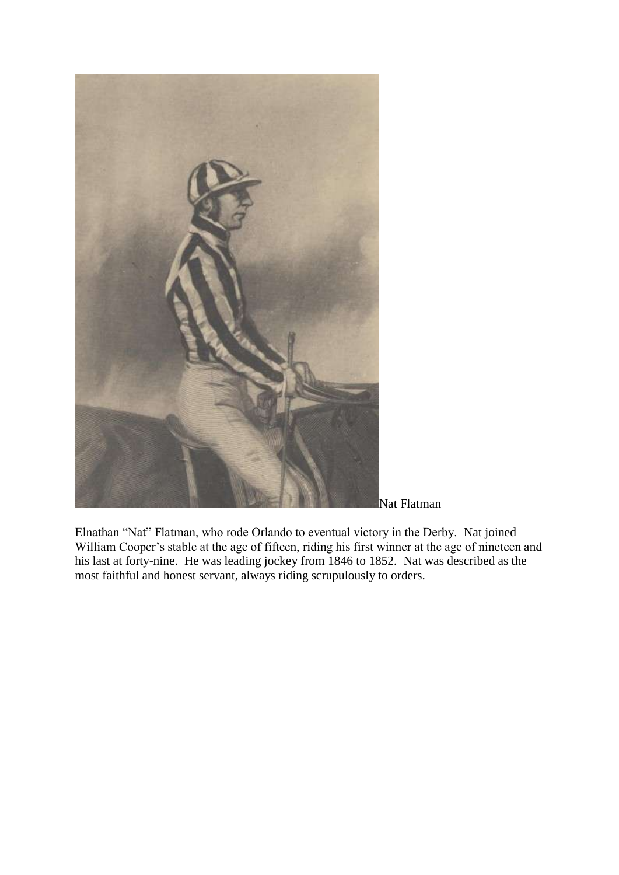

Nat Flatman

Elnathan "Nat" Flatman, who rode Orlando to eventual victory in the Derby. Nat joined William Cooper's stable at the age of fifteen, riding his first winner at the age of nineteen and his last at forty-nine. He was leading jockey from 1846 to 1852. Nat was described as the most faithful and honest servant, always riding scrupulously to orders.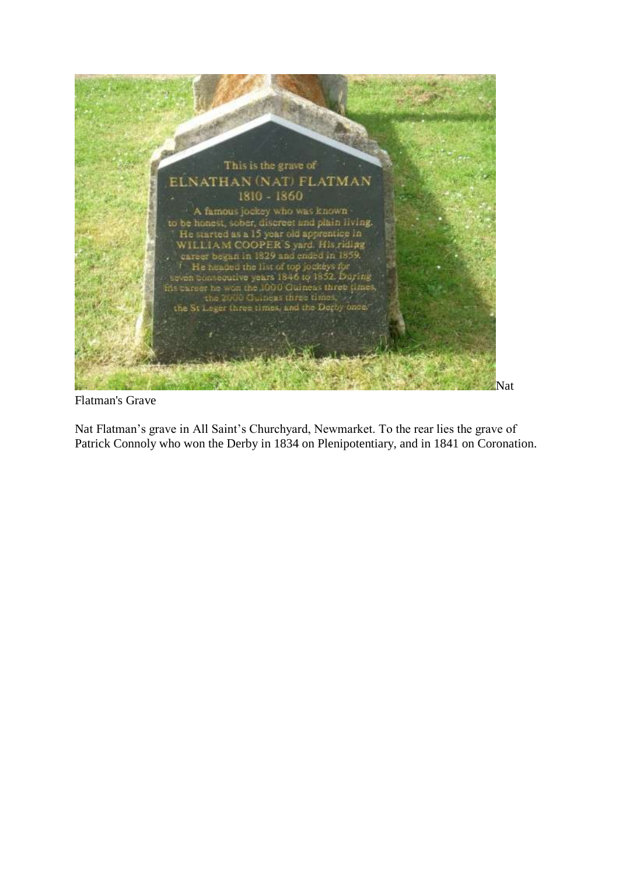

Flatman's Grave

Nat Flatman's grave in All Saint's Churchyard, Newmarket. To the rear lies the grave of Patrick Connoly who won the Derby in 1834 on Plenipotentiary, and in 1841 on Coronation.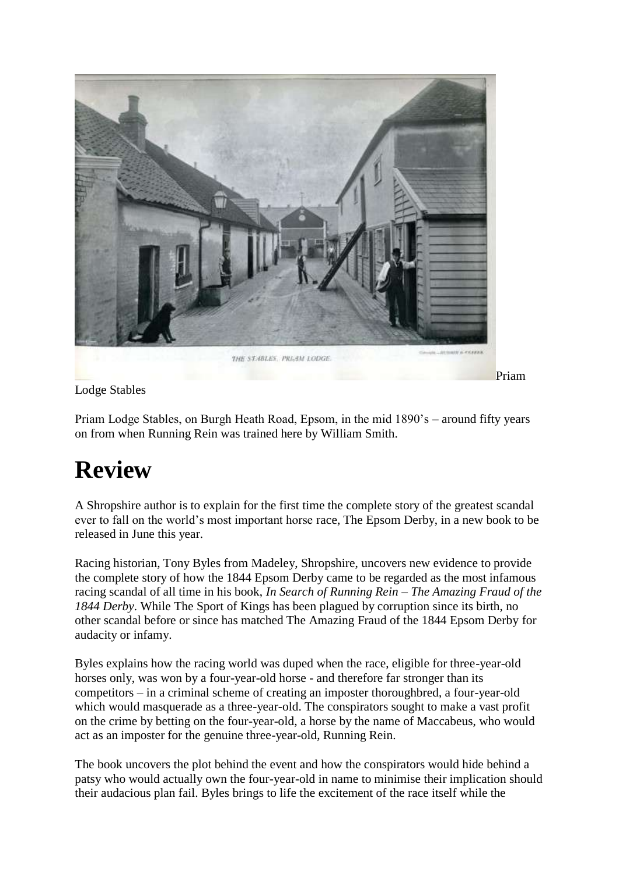

Lodge Stables

Priam Lodge Stables, on Burgh Heath Road, Epsom, in the mid 1890's – around fifty years on from when Running Rein was trained here by William Smith.

### **Review**

A Shropshire author is to explain for the first time the complete story of the greatest scandal ever to fall on the world's most important horse race, The Epsom Derby, in a new book to be released in June this year.

Racing historian, Tony Byles from Madeley, Shropshire, uncovers new evidence to provide the complete story of how the 1844 Epsom Derby came to be regarded as the most infamous racing scandal of all time in his book, *In Search of Running Rein – The Amazing Fraud of the 1844 Derby*. While The Sport of Kings has been plagued by corruption since its birth, no other scandal before or since has matched The Amazing Fraud of the 1844 Epsom Derby for audacity or infamy.

Byles explains how the racing world was duped when the race, eligible for three-year-old horses only, was won by a four-year-old horse - and therefore far stronger than its competitors – in a criminal scheme of creating an imposter thoroughbred, a four-year-old which would masquerade as a three-year-old. The conspirators sought to make a vast profit on the crime by betting on the four-year-old, a horse by the name of Maccabeus, who would act as an imposter for the genuine three-year-old, Running Rein.

The book uncovers the plot behind the event and how the conspirators would hide behind a patsy who would actually own the four-year-old in name to minimise their implication should their audacious plan fail. Byles brings to life the excitement of the race itself while the